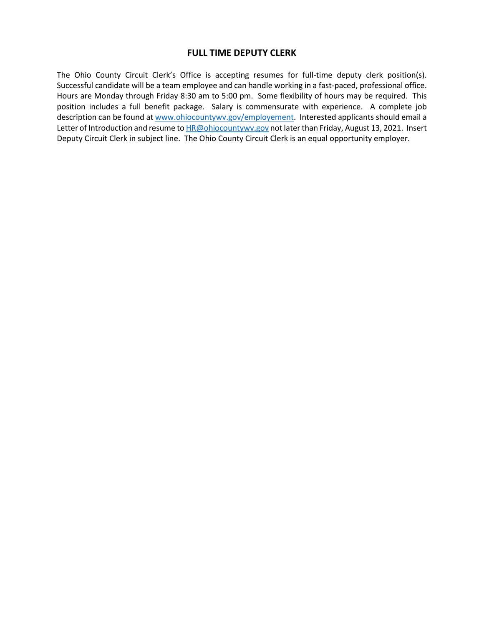## **FULL TIME DEPUTY CLERK**

The Ohio County Circuit Clerk's Office is accepting resumes for full-time deputy clerk position(s). Successful candidate will be a team employee and can handle working in a fast-paced, professional office. Hours are Monday through Friday 8:30 am to 5:00 pm. Some flexibility of hours may be required. This position includes a full benefit package. Salary is commensurate with experience. A complete job description can be found a[t www.ohiocountywv.gov/employement.](http://www.ohiocountywv.gov/employement) Interested applicants should email a Letter of Introduction and resume t[o HR@ohiocountywv.gov](mailto:HR@ohiocountywv.gov) not later than Friday, August 13, 2021. Insert Deputy Circuit Clerk in subject line. The Ohio County Circuit Clerk is an equal opportunity employer.